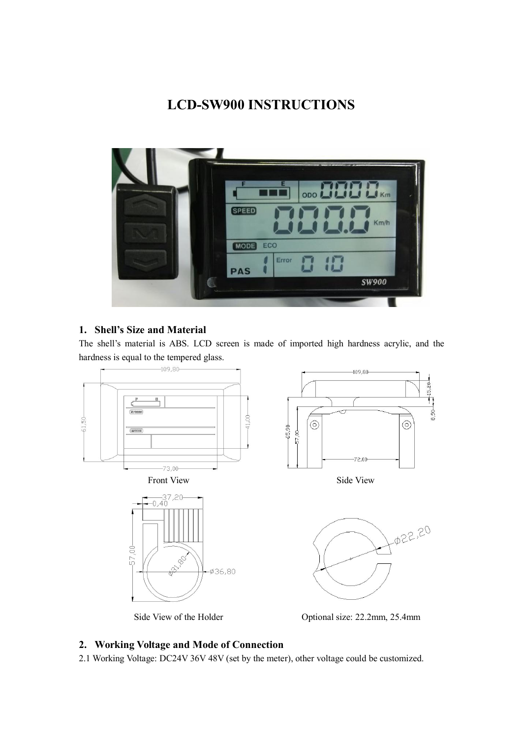# **LCD-SW900 INSTRUCTIONS**



# **1. Shell's Size and Material**

The shell's material is ABS. LCD screen is made of imported high hardness acrylic, and the hardness is equal to the tempered glass.



Side View of the Holder Optional size: 22.2mm, 25.4mm

## **2. Working Voltage and Mode of Connection**

2.1 Working Voltage: DC24V 36V 48V (set by the meter), other voltage could be customized.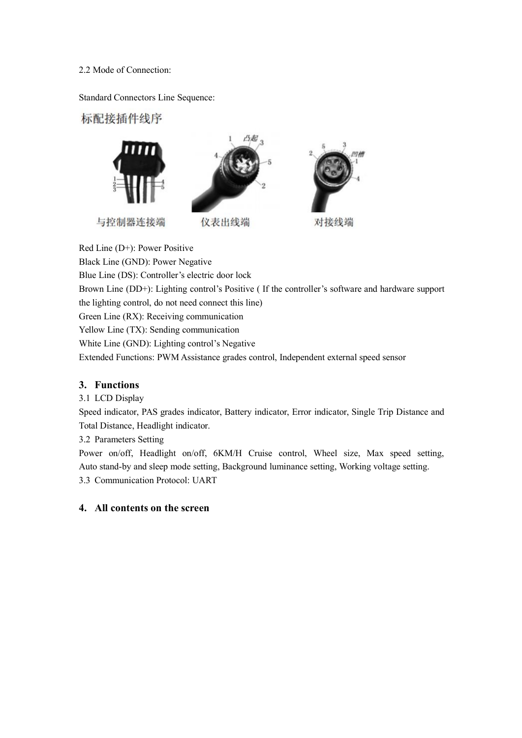#### 2.2 Mode of Connection:

Standard Connectors Line Sequence:

标配接插件线序



Red Line (D+): Power Positive Black Line (GND): Power Negative Blue Line (DS): Controller's electric door lock Brown Line (DD+): Lighting control's Positive ( If the controller's software and hardware support the lighting control, do not need connect this line) Green Line (RX): Receiving communication Yellow Line (TX): Sending communication White Line (GND): Lighting control's Negative Extended Functions: PWM Assistance grades control, Independent external speed sensor

# **3. Functions**

3.1 LCD Display

Speed indicator, PAS grades indicator, Battery indicator, Error indicator, Single Trip Distance and Total Distance, Headlight indicator.

3.2 Parameters Setting

Power on/off, Headlight on/off, 6KM/H Cruise control, Wheel size, Max speed setting, Auto stand-by and sleep mode setting, Background luminance setting, Working voltage setting. 3.3 Communication Protocol: UART

## **4. All contents on the screen**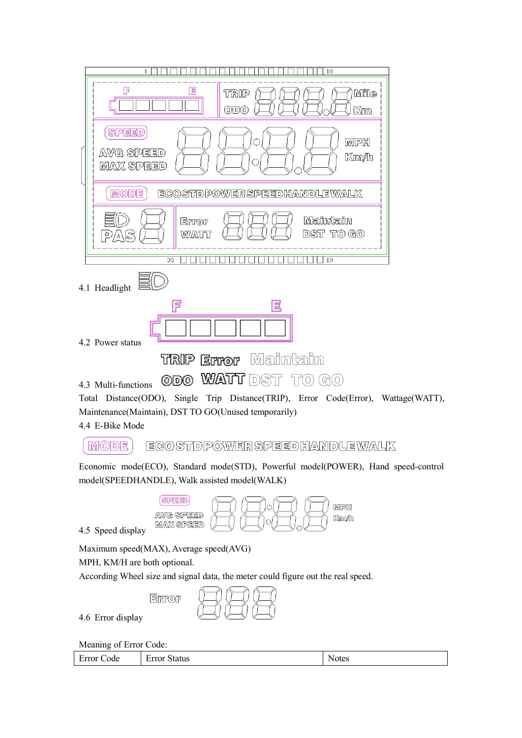| 18<br>$\mathbf{1}$                                                                 |  |  |  |  |
|------------------------------------------------------------------------------------|--|--|--|--|
| F<br>目<br><b>Mile</b><br>TRIP<br>ODO<br>Km                                         |  |  |  |  |
| <b>SPEED</b><br>MPH<br>∩<br>AVG SPEED<br>Km/h<br><b>MAX SPEED</b>                  |  |  |  |  |
| <b>MODE</b><br>EGOSTDPOWERSPEEDHANDLEWALK                                          |  |  |  |  |
| Maintain<br>Error<br>$DST$ $TO$ $GO$<br>WATT<br>58<br>$\Box$<br>/Δ                 |  |  |  |  |
| 33<br>19                                                                           |  |  |  |  |
| 4.1 Headlight                                                                      |  |  |  |  |
| F<br>官                                                                             |  |  |  |  |
| 4.2 Power status                                                                   |  |  |  |  |
| <b>TRIP Error</b> Maintain                                                         |  |  |  |  |
| ODO WAITT DST TO<br>(G(0))<br>4.3 Multi-functions                                  |  |  |  |  |
| Total Distance(ODO), Single Trip Distance(TRIP), Error Code(Error), Wattage(WATT), |  |  |  |  |
| Maintenance(Maintain), DST TO GO(Unused temporarily)                               |  |  |  |  |

4.4 E-Bike Mode

#### ECOSTDPOWERSPEEDHANDLEWALK **MODE**

Economic mode(ECO), Standard mode(STD), Powerful model(POWER), Hand speed-control model(SPEEDHANDLE), Walk assisted model(WALK)



Maximum speed(MAX), Average speed(AVG)

MPH, KM/H are both optional.

According Wheel size and signal data, the meter could figure out the real speed.

| EMMOR |  |
|-------|--|
|-------|--|

4.6 Error display

Meaning of Error Code:

Error Code Error Status Notes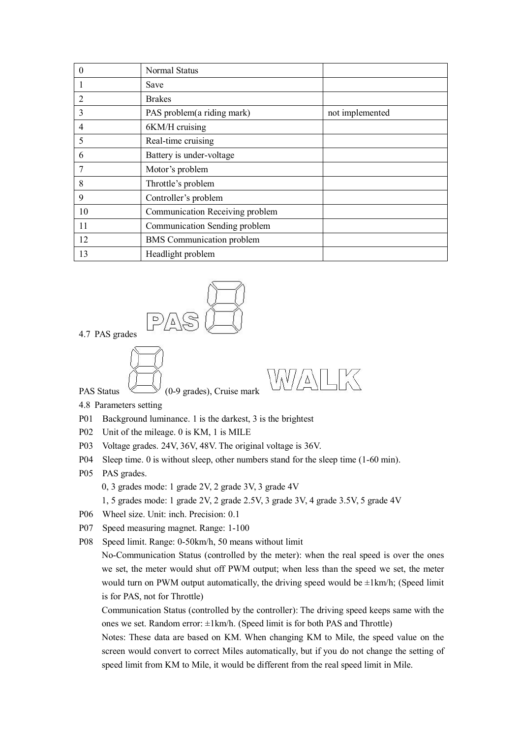| $\theta$       | Normal Status                    |                 |
|----------------|----------------------------------|-----------------|
|                | Save                             |                 |
| 2              | <b>Brakes</b>                    |                 |
| 3              | PAS problem(a riding mark)       | not implemented |
| $\overline{4}$ | 6KM/H cruising                   |                 |
| 5              | Real-time cruising               |                 |
| 6              | Battery is under-voltage         |                 |
| 7              | Motor's problem                  |                 |
| 8              | Throttle's problem               |                 |
| 9              | Controller's problem             |                 |
| 10             | Communication Receiving problem  |                 |
| 11             | Communication Sending problem    |                 |
| 12             | <b>BMS</b> Communication problem |                 |
| 13             | Headlight problem                |                 |





4.8 Parameters setting

- P01 Background luminance. 1 is the darkest, 3 is the brightest
- P02 Unit of the mileage.0 is KM, 1 is MILE
- P03 Voltage grades. 24V, 36V, 48V. The original voltage is 36V.
- P04 Sleep time. 0 is without sleep, other numbers stand for the sleep time (1-60 min).
- P05 PAS grades.

0, 3 grades mode: 1 grade 2V, 2 grade 3V, 3 grade 4V

- 1, 5 grades mode: 1 grade 2V, 2 grade 2.5V,3 grade 3V, 4 grade 3.5V,5 grade 4V
- P06 Wheel size. Unit: inch. Precision: 0.1
- P07 Speed measuring magnet. Range: 1-100
- P08 Speed limit. Range: 0-50km/h, 50 means without limit

No-Communication Status (controlled by the meter): when the real speed is overthe ones we set, the meter would shut off PWM output; when less than the speed we set, the meter would turn on PWM output automatically, the driving speed would be  $\pm 1$ km/h; (Speed limit is for PAS, not for Throttle)

Communication Status (controlled by the controller): The driving speed keeps same with the ones we set. Random error: ±1km/h. (Speed limit is for both PAS and Throttle)

Notes: These data are based on KM. When changing KM to Mile, the speed value on the screen would convert to correct Miles automatically, but if you do not change the setting of speed limit from KM to Mile, it would be different from the real speed limit in Mile.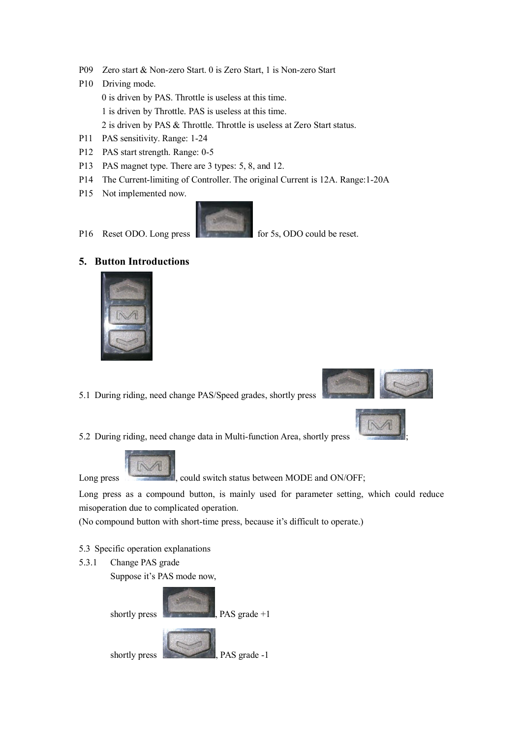- P09 Zero start & Non-zero Start. 0 is Zero Start, 1 is Non-zero Start
- P10 Driving mode. 0 is driven by PAS. Throttle is useless at this time. 1 is driven by Throttle. PAS is useless at this time. 2 is driven by PAS & Throttle. Throttle is useless at Zero Start status.
- P11 PAS sensitivity. Range: 1-24
- P12 PAS start strength. Range: 0-5
- P13 PAS magnet type. There are 3 types: 5, 8, and 12.
- P14 The Current-limiting of Controller. The original Current is 12A. Range:1-20A
- P15 Not implemented now.



P16 Reset ODO. Long press for 5s, ODO could be reset.

#### **5. Button Introductions**



- 5.1 During riding, need change PAS/Speed grades, shortly press
- 



5.2 During riding, need change data in Multi-function Area, shortly press ;



Long press , could switch status between MODE and ON/OFF;

Long press as a compound button, is mainly used for parameter setting, which could reduce misoperation due to complicated operation.

(No compound button with short-time press, because it's difficult to operate.)

- 5.3 Specific operation explanations
- 5.3.1 Change PAS grade

Suppose it's PAS mode now,